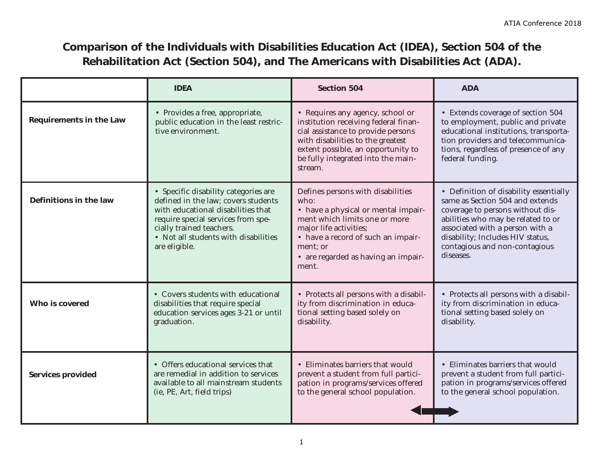## **Comparison of the Individuals with Disabilities Education Act (IDEA), Section 504 of the Rehabilitation Act (Section 504), and The Americans with Disabilities Act (ADA).**

|                                | <b>IDEA</b>                                                                                                                                                                                                                                  | <b>Section 504</b>                                                                                                                                                                                                                            | <b>ADA</b>                                                                                                                                                                                                                                                               |
|--------------------------------|----------------------------------------------------------------------------------------------------------------------------------------------------------------------------------------------------------------------------------------------|-----------------------------------------------------------------------------------------------------------------------------------------------------------------------------------------------------------------------------------------------|--------------------------------------------------------------------------------------------------------------------------------------------------------------------------------------------------------------------------------------------------------------------------|
| <b>Requirements in the Law</b> | • Provides a free, appropriate,<br>public education in the least restric-<br>tive environment.                                                                                                                                               | • Requires any agency, school or<br>institution receiving federal finan-<br>cial assistance to provide persons<br>with disabilities to the greatest<br>extent possible, an opportunity to<br>be fully integrated into the main-<br>stream.    | • Extends coverage of section 504<br>to employment, public and private<br>educational institutions, transporta-<br>tion providers and telecommunica-<br>tions, regardless of presence of any<br>federal funding.                                                         |
| Definitions in the law         | • Specific disability categories are<br>defined in the law; covers students<br>with educational disabilities that<br>require special services from spe-<br>cially trained teachers.<br>• Not all students with disabilities<br>are eligible. | Defines persons with disabilities<br>who:<br>• have a physical or mental impair-<br>ment which limits one or more<br>major life activities;<br>• have a record of such an impair-<br>ment; or<br>• are regarded as having an impair-<br>ment. | • Definition of disability essentially<br>same as Section 504 and extends<br>coverage to persons without dis-<br>abilities who may be related to or<br>associated with a person with a<br>disability; Includes HIV status,<br>contagious and non-contagious<br>diseases. |
| Who is covered                 | • Covers students with educational<br>disabilities that require special<br>education services ages 3-21 or until<br>graduation.                                                                                                              | • Protects all persons with a disabil-<br>ity from discrimination in educa-<br>tional setting based solely on<br>disability.                                                                                                                  | • Protects all persons with a disabil-<br>ity from discrimination in educa-<br>tional setting based solely on<br>disability.                                                                                                                                             |
| <b>Services provided</b>       | • Offers educational services that<br>are remedial in addition to services<br>available to all mainstream students<br>(ie, PE, Art, field trips)                                                                                             | • Eliminates barriers that would<br>prevent a student from full partici-<br>pation in programs/services offered<br>to the general school population.                                                                                          | • Eliminates barriers that would<br>prevent a student from full partici-<br>pation in programs/services offered<br>to the general school population.                                                                                                                     |